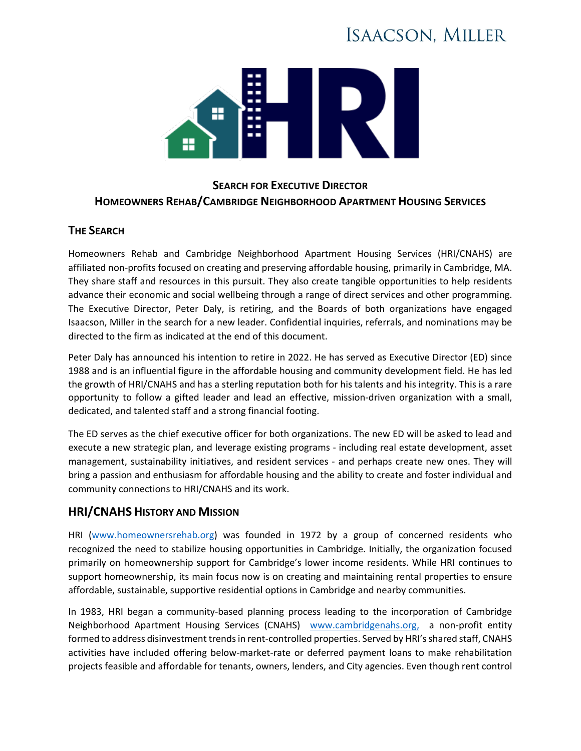# **ISAACSON, MILLER**



## **SEARCH FOR EXECUTIVE DIRECTOR HOMEOWNERS REHAB/CAMBRIDGE NEIGHBORHOOD APARTMENT HOUSING SERVICES**

## **THE SEARCH**

Homeowners Rehab and Cambridge Neighborhood Apartment Housing Services (HRI/CNAHS) are affiliated non-profits focused on creating and preserving affordable housing, primarily in Cambridge, MA. They share staff and resources in this pursuit. They also create tangible opportunities to help residents advance their economic and social wellbeing through a range of direct services and other programming. The Executive Director, Peter Daly, is retiring, and the Boards of both organizations have engaged Isaacson, Miller in the search for a new leader. Confidential inquiries, referrals, and nominations may be directed to the firm as indicated at the end of this document.

Peter Daly has announced his intention to retire in 2022. He has served as Executive Director (ED) since 1988 and is an influential figure in the affordable housing and community development field. He has led the growth of HRI/CNAHS and has a sterling reputation both for his talents and his integrity. This is a rare opportunity to follow a gifted leader and lead an effective, mission-driven organization with a small, dedicated, and talented staff and a strong financial footing.

The ED serves as the chief executive officer for both organizations. The new ED will be asked to lead and execute a new strategic plan, and leverage existing programs - including real estate development, asset management, sustainability initiatives, and resident services - and perhaps create new ones. They will bring a passion and enthusiasm for affordable housing and the ability to create and foster individual and community connections to HRI/CNAHS and its work.

## **HRI/CNAHS HISTORY AND MISSION**

HRI [\(www.homeownersrehab.org\)](http://www.homeownersrehab.org/) was founded in 1972 by a group of concerned residents who recognized the need to stabilize housing opportunities in Cambridge. Initially, the organization focused primarily on homeownership support for Cambridge's lower income residents. While HRI continues to support homeownership, its main focus now is on creating and maintaining rental properties to ensure affordable, sustainable, supportive residential options in Cambridge and nearby communities.

In 1983, HRI began a community-based planning process leading to the incorporation of Cambridge Neighborhood Apartment Housing Services (CNAHS) [www.cambridgenahs.org,](http://www.cambridgenahs.org/) a non-profit entity formed to address disinvestment trends in rent-controlled properties. Served by HRI's shared staff, CNAHS activities have included offering below-market-rate or deferred payment loans to make rehabilitation projects feasible and affordable for tenants, owners, lenders, and City agencies. Even though rent control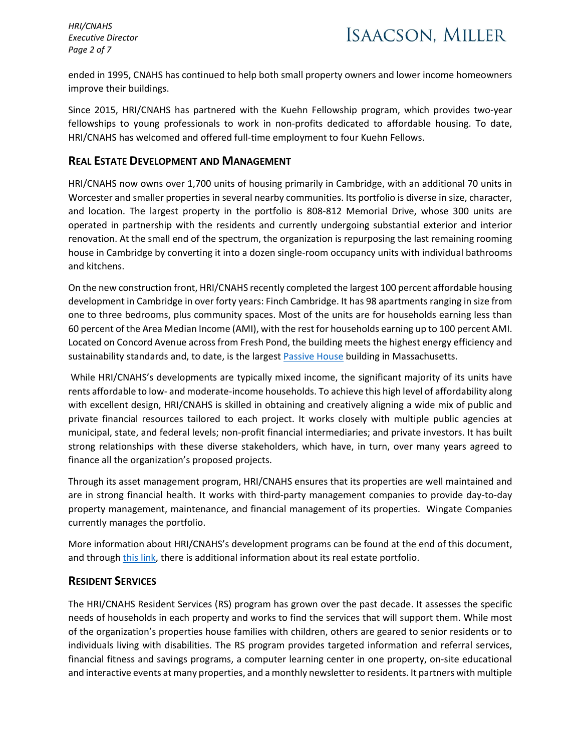*HRI/CNAHS Executive Director Page 2 of 7*

ended in 1995, CNAHS has continued to help both small property owners and lower income homeowners improve their buildings.

Since 2015, HRI/CNAHS has partnered with the Kuehn Fellowship program, which provides two-year fellowships to young professionals to work in non-profits dedicated to affordable housing. To date, HRI/CNAHS has welcomed and offered full-time employment to four Kuehn Fellows.

### **REAL ESTATE DEVELOPMENT AND MANAGEMENT**

HRI/CNAHS now owns over 1,700 units of housing primarily in Cambridge, with an additional 70 units in Worcester and smaller properties in several nearby communities. Its portfolio is diverse in size, character, and location. The largest property in the portfolio is 808-812 Memorial Drive, whose 300 units are operated in partnership with the residents and currently undergoing substantial exterior and interior renovation. At the small end of the spectrum, the organization is repurposing the last remaining rooming house in Cambridge by converting it into a dozen single-room occupancy units with individual bathrooms and kitchens.

On the new construction front, HRI/CNAHS recently completed the largest 100 percent affordable housing development in Cambridge in over forty years: Finch Cambridge. It has 98 apartments ranging in size from one to three bedrooms, plus community spaces. Most of the units are for households earning less than 60 percent of the Area Median Income (AMI), with the rest for households earning up to 100 percent AMI. Located on Concord Avenue across from Fresh Pond, the building meets the highest energy efficiency and sustainability standards and, to date, is the largest [Passive House](https://phmass.org/what-is-passive-house/) building in Massachusetts.

While HRI/CNAHS's developments are typically mixed income, the significant majority of its units have rents affordable to low- and moderate-income households. To achieve this high level of affordability along with excellent design, HRI/CNAHS is skilled in obtaining and creatively aligning a wide mix of public and private financial resources tailored to each project. It works closely with multiple public agencies at municipal, state, and federal levels; non-profit financial intermediaries; and private investors. It has built strong relationships with these diverse stakeholders, which have, in turn, over many years agreed to finance all the organization's proposed projects.

Through its asset management program, HRI/CNAHS ensures that its properties are well maintained and are in strong financial health. It works with third-party management companies to provide day-to-day property management, maintenance, and financial management of its properties. Wingate Companies currently manages the portfolio.

More information about HRI/CNAHS's development programs can be found at the end of this document, and throug[h this link,](https://www.homeownersrehab.org/properties-1) there is additional information about its real estate portfolio.

## **RESIDENT SERVICES**

The HRI/CNAHS Resident Services (RS) program has grown over the past decade. It assesses the specific needs of households in each property and works to find the services that will support them. While most of the organization's properties house families with children, others are geared to senior residents or to individuals living with disabilities. The RS program provides targeted information and referral services, financial fitness and savings programs, a computer learning center in one property, on-site educational and interactive events at many properties, and a monthly newsletter to residents. It partners with multiple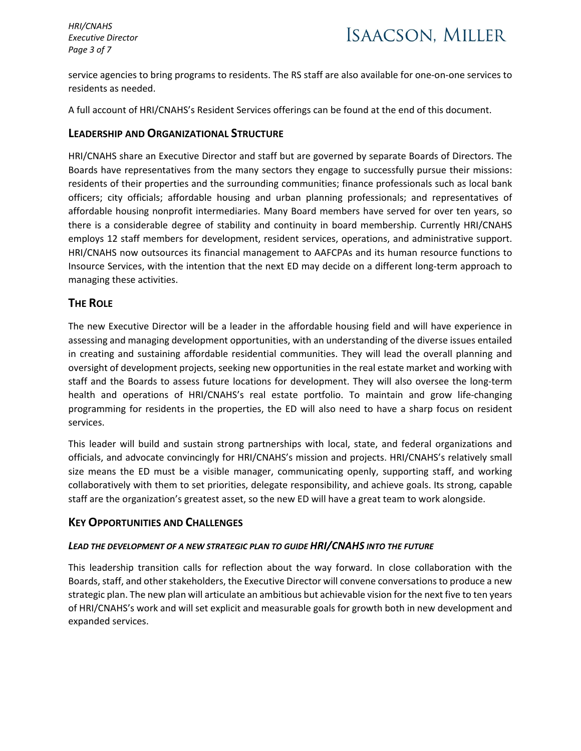*HRI/CNAHS Executive Director Page 3 of 7*

service agencies to bring programs to residents. The RS staff are also available for one-on-one services to residents as needed.

A full account of HRI/CNAHS's Resident Services offerings can be found at the end of this document.

### **LEADERSHIP AND ORGANIZATIONAL STRUCTURE**

HRI/CNAHS share an Executive Director and staff but are governed by separate Boards of Directors. The Boards have representatives from the many sectors they engage to successfully pursue their missions: residents of their properties and the surrounding communities; finance professionals such as local bank officers; city officials; affordable housing and urban planning professionals; and representatives of affordable housing nonprofit intermediaries. Many Board members have served for over ten years, so there is a considerable degree of stability and continuity in board membership. Currently HRI/CNAHS employs 12 staff members for development, resident services, operations, and administrative support. HRI/CNAHS now outsources its financial management to AAFCPAs and its human resource functions to Insource Services, with the intention that the next ED may decide on a different long-term approach to managing these activities.

## **THE ROLE**

The new Executive Director will be a leader in the affordable housing field and will have experience in assessing and managing development opportunities, with an understanding of the diverse issues entailed in creating and sustaining affordable residential communities. They will lead the overall planning and oversight of development projects, seeking new opportunities in the real estate market and working with staff and the Boards to assess future locations for development. They will also oversee the long-term health and operations of HRI/CNAHS's real estate portfolio. To maintain and grow life-changing programming for residents in the properties, the ED will also need to have a sharp focus on resident services.

This leader will build and sustain strong partnerships with local, state, and federal organizations and officials, and advocate convincingly for HRI/CNAHS's mission and projects. HRI/CNAHS's relatively small size means the ED must be a visible manager, communicating openly, supporting staff, and working collaboratively with them to set priorities, delegate responsibility, and achieve goals. Its strong, capable staff are the organization's greatest asset, so the new ED will have a great team to work alongside.

### **KEY OPPORTUNITIES AND CHALLENGES**

### *LEAD THE DEVELOPMENT OF A NEW STRATEGIC PLAN TO GUIDE HRI/CNAHS INTO THE FUTURE*

This leadership transition calls for reflection about the way forward. In close collaboration with the Boards, staff, and other stakeholders, the Executive Director will convene conversations to produce a new strategic plan. The new plan will articulate an ambitious but achievable vision for the next five to ten years of HRI/CNAHS's work and will set explicit and measurable goals for growth both in new development and expanded services.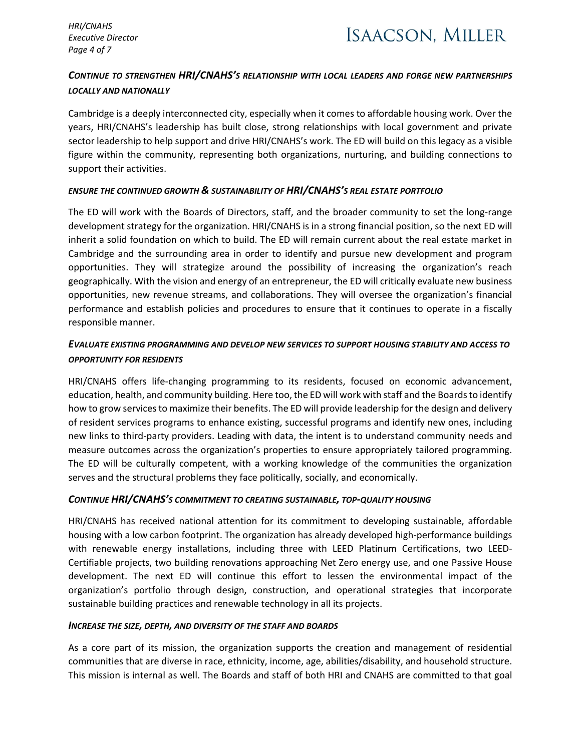*HRI/CNAHS Executive Director Page 4 of 7*

## *CONTINUE TO STRENGTHEN HRI/CNAHS'S RELATIONSHIP WITH LOCAL LEADERS AND FORGE NEW PARTNERSHIPS LOCALLY AND NATIONALLY*

Cambridge is a deeply interconnected city, especially when it comes to affordable housing work. Over the years, HRI/CNAHS's leadership has built close, strong relationships with local government and private sector leadership to help support and drive HRI/CNAHS's work. The ED will build on this legacy as a visible figure within the community, representing both organizations, nurturing, and building connections to support their activities.

### *ENSURE THE CONTINUED GROWTH & SUSTAINABILITY OF HRI/CNAHS'S REAL ESTATE PORTFOLIO*

The ED will work with the Boards of Directors, staff, and the broader community to set the long-range development strategy for the organization. HRI/CNAHS is in a strong financial position, so the next ED will inherit a solid foundation on which to build. The ED will remain current about the real estate market in Cambridge and the surrounding area in order to identify and pursue new development and program opportunities. They will strategize around the possibility of increasing the organization's reach geographically. With the vision and energy of an entrepreneur, the ED will critically evaluate new business opportunities, new revenue streams, and collaborations. They will oversee the organization's financial performance and establish policies and procedures to ensure that it continues to operate in a fiscally responsible manner.

## *EVALUATE EXISTING PROGRAMMING AND DEVELOP NEW SERVICES TO SUPPORT HOUSING STABILITY AND ACCESS TO OPPORTUNITY FOR RESIDENTS*

HRI/CNAHS offers life-changing programming to its residents, focused on economic advancement, education, health, and community building. Here too, the ED will work with staff and the Boards to identify how to grow services to maximize their benefits. The ED will provide leadership for the design and delivery of resident services programs to enhance existing, successful programs and identify new ones, including new links to third-party providers. Leading with data, the intent is to understand community needs and measure outcomes across the organization's properties to ensure appropriately tailored programming. The ED will be culturally competent, with a working knowledge of the communities the organization serves and the structural problems they face politically, socially, and economically.

### *CONTINUE HRI/CNAHS'S COMMITMENT TO CREATING SUSTAINABLE, TOP-QUALITY HOUSING*

HRI/CNAHS has received national attention for its commitment to developing sustainable, affordable housing with a low carbon footprint. The organization has already developed high-performance buildings with renewable energy installations, including three with LEED Platinum Certifications, two LEED-Certifiable projects, two building renovations approaching Net Zero energy use, and one Passive House development. The next ED will continue this effort to lessen the environmental impact of the organization's portfolio through design, construction, and operational strategies that incorporate sustainable building practices and renewable technology in all its projects.

### *INCREASE THE SIZE, DEPTH, AND DIVERSITY OF THE STAFF AND BOARDS*

As a core part of its mission, the organization supports the creation and management of residential communities that are diverse in race, ethnicity, income, age, abilities/disability, and household structure. This mission is internal as well. The Boards and staff of both HRI and CNAHS are committed to that goal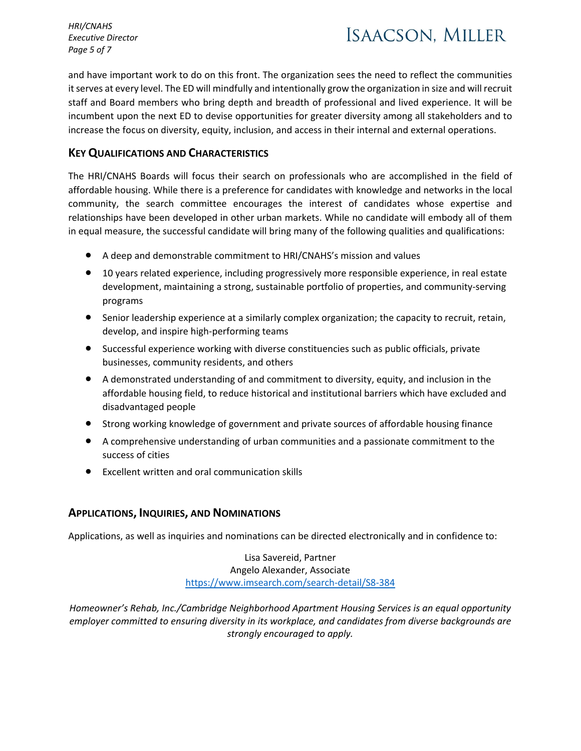*HRI/CNAHS Executive Director Page 5 of 7*

# **ISAACSON, MILLER**

and have important work to do on this front. The organization sees the need to reflect the communities it serves at every level. The ED will mindfully and intentionally grow the organization in size and will recruit staff and Board members who bring depth and breadth of professional and lived experience. It will be incumbent upon the next ED to devise opportunities for greater diversity among all stakeholders and to increase the focus on diversity, equity, inclusion, and access in their internal and external operations.

## **KEY QUALIFICATIONS AND CHARACTERISTICS**

The HRI/CNAHS Boards will focus their search on professionals who are accomplished in the field of affordable housing. While there is a preference for candidates with knowledge and networks in the local community, the search committee encourages the interest of candidates whose expertise and relationships have been developed in other urban markets. While no candidate will embody all of them in equal measure, the successful candidate will bring many of the following qualities and qualifications:

- A deep and demonstrable commitment to HRI/CNAHS's mission and values
- 10 years related experience, including progressively more responsible experience, in real estate development, maintaining a strong, sustainable portfolio of properties, and community-serving programs
- Senior leadership experience at a similarly complex organization; the capacity to recruit, retain, develop, and inspire high-performing teams
- Successful experience working with diverse constituencies such as public officials, private businesses, community residents, and others
- A demonstrated understanding of and commitment to diversity, equity, and inclusion in the affordable housing field, to reduce historical and institutional barriers which have excluded and disadvantaged people
- Strong working knowledge of government and private sources of affordable housing finance
- A comprehensive understanding of urban communities and a passionate commitment to the success of cities
- Excellent written and oral communication skills

## **APPLICATIONS, INQUIRIES, AND NOMINATIONS**

Applications, as well as inquiries and nominations can be directed electronically and in confidence to:

Lisa Savereid, Partner Angelo Alexander, Associate <https://www.imsearch.com/search-detail/S8-384>

*Homeowner's Rehab, Inc./Cambridge Neighborhood Apartment Housing Services is an equal opportunity employer committed to ensuring diversity in its workplace, and candidates from diverse backgrounds are strongly encouraged to apply.*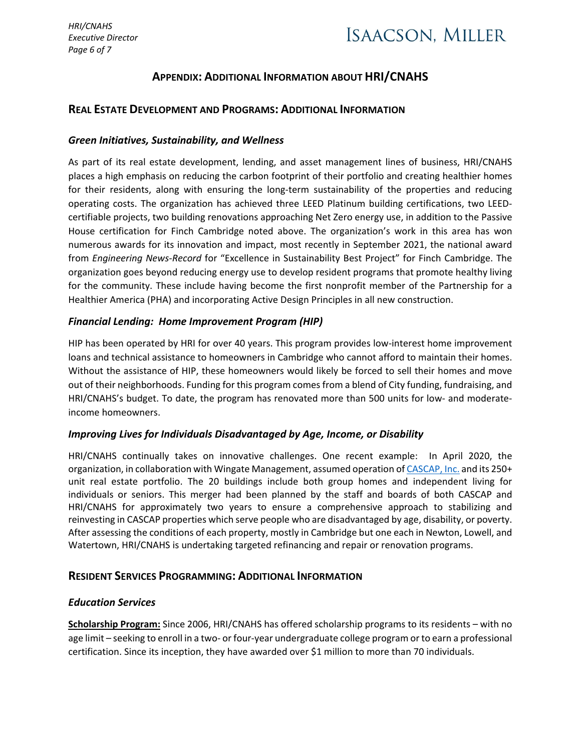## **ISAACSON, MILLER**

## **APPENDIX: ADDITIONAL INFORMATION ABOUT HRI/CNAHS**

### **REAL ESTATE DEVELOPMENT AND PROGRAMS: ADDITIONAL INFORMATION**

#### *Green Initiatives, Sustainability, and Wellness*

As part of its real estate development, lending, and asset management lines of business, HRI/CNAHS places a high emphasis on reducing the carbon footprint of their portfolio and creating healthier homes for their residents, along with ensuring the long-term sustainability of the properties and reducing operating costs. The organization has achieved three LEED Platinum building certifications, two LEEDcertifiable projects, two building renovations approaching Net Zero energy use, in addition to the Passive House certification for Finch Cambridge noted above. The organization's work in this area has won numerous awards for its innovation and impact, most recently in September 2021, the national award from *Engineering News-Record* for "Excellence in Sustainability Best Project" for Finch Cambridge. The organization goes beyond reducing energy use to develop resident programs that promote healthy living for the community. These include having become the first nonprofit member of the Partnership for a Healthier America (PHA) and incorporating Active Design Principles in all new construction.

### *Financial Lending: Home Improvement Program (HIP)*

HIP has been operated by HRI for over 40 years. This program provides low-interest home improvement loans and technical assistance to homeowners in Cambridge who cannot afford to maintain their homes. Without the assistance of HIP, these homeowners would likely be forced to sell their homes and move out of their neighborhoods. Funding for this program comes from a blend of City funding, fundraising, and HRI/CNAHS's budget. To date, the program has renovated more than 500 units for low- and moderateincome homeowners.

### *Improving Lives for Individuals Disadvantaged by Age, Income, or Disability*

HRI/CNAHS continually takes on innovative challenges. One recent example: In April 2020, the organization, in collaboration with Wingate Management, assumed operation of [CASCAP, Inc.](https://cascap.org/) and its 250+ unit real estate portfolio. The 20 buildings include both group homes and independent living for individuals or seniors. This merger had been planned by the staff and boards of both CASCAP and HRI/CNAHS for approximately two years to ensure a comprehensive approach to stabilizing and reinvesting in CASCAP properties which serve people who are disadvantaged by age, disability, or poverty. After assessing the conditions of each property, mostly in Cambridge but one each in Newton, Lowell, and Watertown, HRI/CNAHS is undertaking targeted refinancing and repair or renovation programs.

### **RESIDENT SERVICES PROGRAMMING: ADDITIONAL INFORMATION**

### *Education Services*

**[Scholarship Program:](https://www.homeownersrehab.org/scholarshipprogram)** Since 2006, HRI/CNAHS has offered scholarship programs to its residents – with no age limit – seeking to enroll in a two- or four-year undergraduate college program or to earn a professional certification. Since its inception, they have awarded over \$1 million to more than 70 individuals.